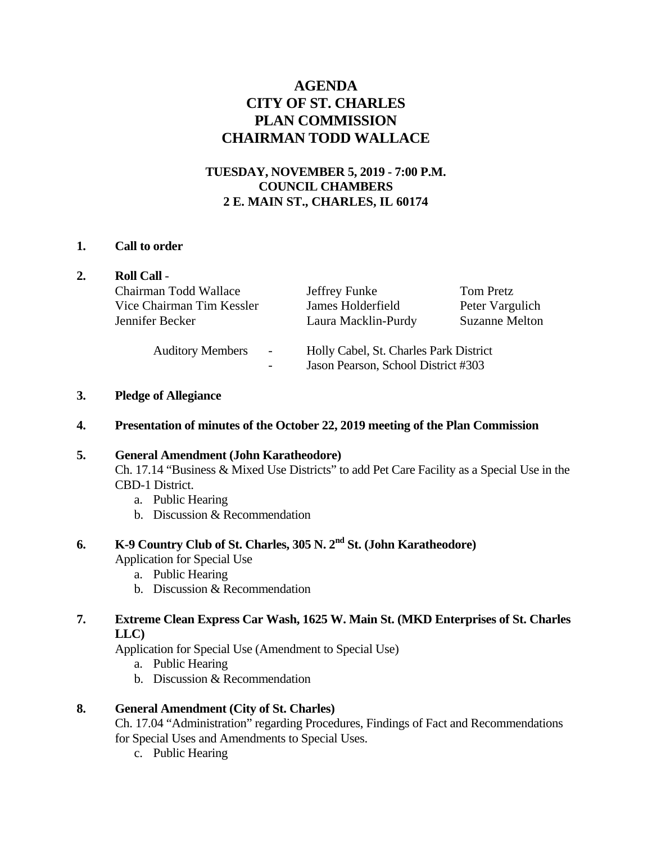## **AGENDA CITY OF ST. CHARLES PLAN COMMISSION CHAIRMAN TODD WALLACE**

## **TUESDAY, NOVEMBER 5, 2019 - 7:00 P.M. COUNCIL CHAMBERS 2 E. MAIN ST., CHARLES, IL 60174**

#### **1. Call to order**

|  | <b>Roll Call -</b>                                                    |                                                                               |                       |
|--|-----------------------------------------------------------------------|-------------------------------------------------------------------------------|-----------------------|
|  | Chairman Todd Wallace                                                 | Jeffrey Funke                                                                 | Tom Pretz             |
|  | Vice Chairman Tim Kessler                                             | James Holderfield                                                             | Peter Vargulich       |
|  | Jennifer Becker                                                       | Laura Macklin-Purdy                                                           | <b>Suzanne Melton</b> |
|  | <b>Auditory Members</b><br>$\overline{\phantom{a}}$<br>$\overline{a}$ | Holly Cabel, St. Charles Park District<br>Jason Pearson, School District #303 |                       |

## **3. Pledge of Allegiance**

**4. Presentation of minutes of the October 22, 2019 meeting of the Plan Commission** 

## **5. General Amendment (John Karatheodore)**

Ch. 17.14 "Business & Mixed Use Districts" to add Pet Care Facility as a Special Use in the CBD-1 District.

- a. Public Hearing
- b. Discussion & Recommendation

# **6. K-9 Country Club of St. Charles, 305 N. 2nd St. (John Karatheodore)**

Application for Special Use

- a. Public Hearing
- b. Discussion & Recommendation

## **7. Extreme Clean Express Car Wash, 1625 W. Main St. (MKD Enterprises of St. Charles LLC)**

Application for Special Use (Amendment to Special Use)

- a. Public Hearing
- b. Discussion & Recommendation

## **8. General Amendment (City of St. Charles)**

Ch. 17.04 "Administration" regarding Procedures, Findings of Fact and Recommendations for Special Uses and Amendments to Special Uses.

c. Public Hearing